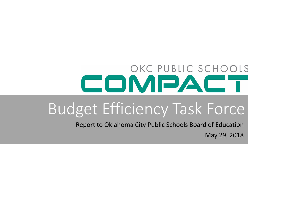## OKC PUBLIC SCHOOLS COMPAC

# Budget Efficiency Task Force

 Report to Oklahoma City Public Schools Board of EducationMay 29, 2018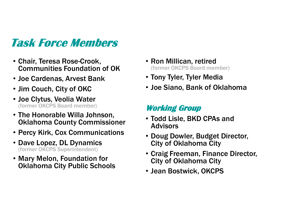### Task Force Members

- Chair, Teresa Rose-Crook, Communities Foundation of OK
- Joe Cardenas, Arvest Bank
- Jim Couch, City of OKC
- Joe Clytus, Veolia Water (former OKCPS Board member)
- The Honorable Willa Johnson, Oklahoma County Commissioner
- Percy Kirk, Cox Communications
- Dave Lopez, DL Dynamics (former OKCPS Superintendent)
- Mary Melon, Foundation for Oklahoma City Public Schools
- Ron Millican, retired (former OKCPS Board member)
- Tony Tyler, Tyler Media
- Joe Siano, Bank of Oklahoma

#### Working Group

- Todd Lisle, BKD CPAs and Advisors
- Doug Dowler, Budget Director, City of Oklahoma City
- Craig Freeman, Finance Director, City of Oklahoma City
- Jean Bostwick, OKCPS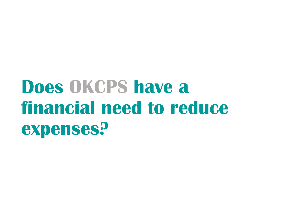# Does OKCPS have a financial need to reduce expenses?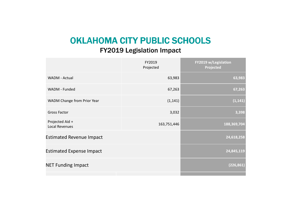## OKLAHOMA CITY PUBLIC SCHOOLS

#### FY2019 Legislation Impact

|                                          | FY2019<br>Projected | FY2019 w/Legislation<br>Projected |
|------------------------------------------|---------------------|-----------------------------------|
| WADM - Actual                            | 63,983              | 63,983                            |
| WADM - Funded                            | 67,263              | 67,263                            |
| WADM Change from Prior Year              | (1, 141)            | (1, 141)                          |
| <b>Gross Factor</b>                      | 3,032               | 3,398                             |
| Projected Aid +<br><b>Local Revenues</b> | 163,751,446         | 188,369,704                       |
| <b>Estimated Revenue Impact</b>          |                     | 24,618,258                        |
| <b>Estimated Expense Impact</b>          |                     | 24,845,119                        |
| <b>NET Funding Impact</b>                |                     | (226, 861)                        |
|                                          |                     |                                   |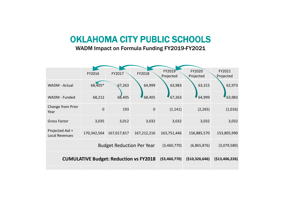#### OKLAHOMA CITY PUBLIC SCHOOLS

WADM Impact on Formula Funding FY2019-FY2021

|                                               | FY2016      | FY2017      | FY2018         | FY2019<br>Projected | FY2020<br>Projected | FY2021<br>Projected |
|-----------------------------------------------|-------------|-------------|----------------|---------------------|---------------------|---------------------|
| WADM - Actual                                 | 68,405*     | 67,263      | 64,999         | 63,983              | 63,315              | 62,973              |
| WADM - Funded                                 | 68,212      | 68,405      | 68,405         | 67,263              | 64,999              | 63,983              |
| Change from Prior<br>Year                     | $\mathbf 0$ | 193         | $\mathbf 0$    | (1, 141)            | (2, 265)            | (1,016)             |
| <b>Gross Factor</b>                           | 3,035       | 3,012       | 3,032          | 3,032               | 3,032               | 3,032               |
| Projected Aid +<br>Local Revenues             | 170,342,564 | 167,017,817 | 167,212,216    | 163,751,446         | 156,885,570         | 153,805,990         |
| <b>Budget Reduction Per Year</b>              |             |             | (3,460,770)    | (6,865,876)         | (3,079,580)         |                     |
| <b>CUMULATIVE Budget: Reduction vs FY2018</b> |             |             | ( \$3,460,770) | (\$10,326,646)      | ( \$13,406,226)     |                     |
|                                               |             |             |                |                     |                     |                     |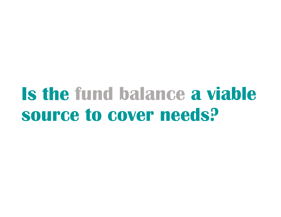# fund balance a viable source to cover needs?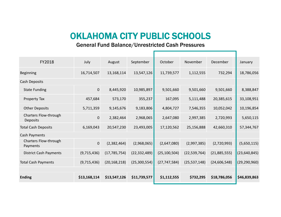#### OKLAHOMA CITY PUBLIC SCHOOLS

#### General Fund Balance/Unrestricted Cash Pressures

| FY2018                                   | July           | August         | September      | October        | November       | December       | January        |
|------------------------------------------|----------------|----------------|----------------|----------------|----------------|----------------|----------------|
| <b>Beginning</b>                         | 16,714,507     | 13,168,114     | 13,547,126     | 11,739,577     | 1,112,555      | 732,294        | 18,786,056     |
| Cash Deposits                            |                |                |                |                |                |                |                |
| <b>State Funding</b>                     | $\mathbf{0}$   | 8,445,920      | 10,985,897     | 9,501,660      | 9,501,660      | 9,501,660      | 8,388,847      |
| Property Tax                             | 457,684        | 573,170        | 355,237        | 167,095        | 5,111,488      | 20,385,615     | 33,108,951     |
| <b>Other Deposits</b>                    | 5,711,359      | 9,145,676      | 9,183,806      | 4,804,727      | 7,546,355      | 10,052,042     | 10,196,854     |
| Charters Flow-through<br><b>Deposits</b> | $\overline{0}$ | 2,382,464      | 2,968,065      | 2,647,080      | 2,997,385      | 2,720,993      | 5,650,115      |
| <b>Total Cash Deposits</b>               | 6,169,043      | 20,547,230     | 23,493,005     | 17,120,562     | 25,156,888     | 42,660,310     | 57,344,767     |
| Cash Payments                            |                |                |                |                |                |                |                |
| Charters Flow-through<br>Payments        | $\mathbf{0}$   | (2,382,464)    | (2,968,065)    | (2,647,080)    | (2,997,385)    | (2,720,993)    | (5,650,115)    |
| <b>District Cash Payments</b>            | (9,715,436)    | (17, 785, 754) | (22, 332, 489) | (25, 100, 504) | (22, 539, 764) | (21,885,555)   | (23, 640, 845) |
| <b>Total Cash Payments</b>               | (9,715,436)    | (20, 168, 218) | (25, 300, 554) | (27, 747, 584) | (25, 537, 148) | (24, 606, 548) | (29, 290, 960) |
|                                          |                |                |                |                |                |                |                |
| <b>Ending</b>                            | \$13,168,114   | \$13,547,126   | \$11,739,577   | \$1,112,555    | \$732,295      | \$18,786,056   | \$46,839,863   |
|                                          |                |                |                |                |                |                |                |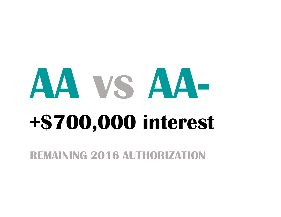# vsSAA-+\$700,000 interest

REMAINING 2016 AUTHORIZATION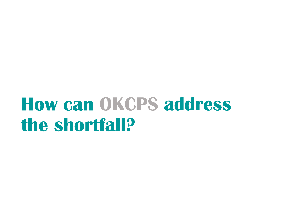# OKCPS address the shortfall?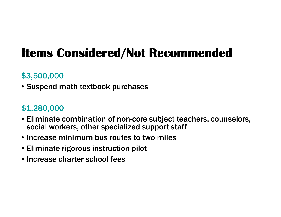## Items Considered/Not Recommended

#### \$3,500,000

• Suspend math textbook purchases

#### \$1,280,000

- Eliminate combination of non-core subject teachers, counselors, social workers, other specialized support staff
- Increase minimum bus routes to two miles
- Eliminate rigorous instruction pilot
- Increase charter school fees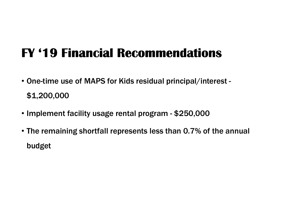## FY '19 Financial Recommendations

- One-time use of MAPS for Kids residual principal/interest \$1,200,000
- Implement facility usage rental program \$250,000
- The remaining shortfall represents less than 0.7% of the annual budget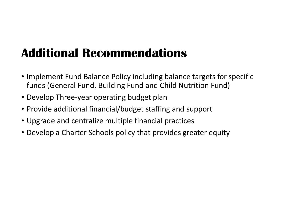## **Additional Recommendations**

- Implement Fund Balance Policy including balance targets for specific funds (General Fund, Building Fund and Child Nutrition Fund)
- Develop Three-year operating budget plan
- Provide additional financial/budget staffing and support
- Upgrade and centralize multiple financial practices
- Develop a Charter Schools policy that provides greater equity